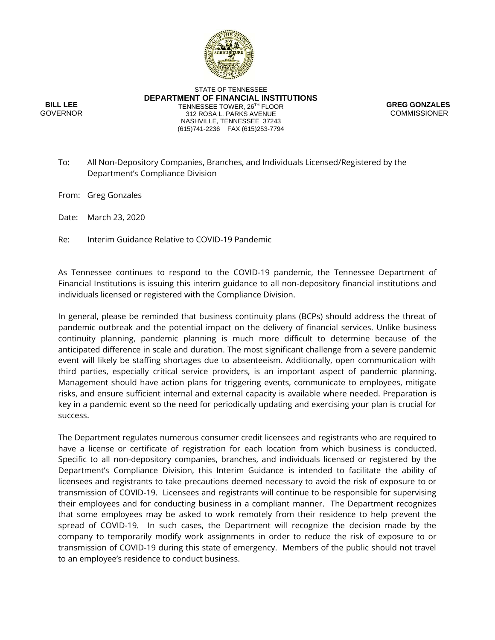

**BILL LEE** GOVERNOR

STATE OF TENNESSEE **DEPARTMENT OF FINANCIAL INSTITUTIONS** TENNESSEE TOWER, 26TH FLOOR 312 ROSA L. PARKS AVENUE NASHVILLE, TENNESSEE 37243 (615)741-2236 FAX (615)253-7794



To: All Non-Depository Companies, Branches, and Individuals Licensed/Registered by the Department's Compliance Division

From: Greg Gonzales

Date: March 23, 2020

Re: Interim Guidance Relative to COVID-19 Pandemic

As Tennessee continues to respond to the COVID-19 pandemic, the Tennessee Department of Financial Institutions is issuing this interim guidance to all non-depository financial institutions and individuals licensed or registered with the Compliance Division.

In general, please be reminded that business continuity plans (BCPs) should address the threat of pandemic outbreak and the potential impact on the delivery of financial services. Unlike business continuity planning, pandemic planning is much more difficult to determine because of the anticipated difference in scale and duration. The most significant challenge from a severe pandemic event will likely be staffing shortages due to absenteeism. Additionally, open communication with third parties, especially critical service providers, is an important aspect of pandemic planning. Management should have action plans for triggering events, communicate to employees, mitigate risks, and ensure sufficient internal and external capacity is available where needed. Preparation is key in a pandemic event so the need for periodically updating and exercising your plan is crucial for success.

The Department regulates numerous consumer credit licensees and registrants who are required to have a license or certificate of registration for each location from which business is conducted. Specific to all non-depository companies, branches, and individuals licensed or registered by the Department's Compliance Division, this Interim Guidance is intended to facilitate the ability of licensees and registrants to take precautions deemed necessary to avoid the risk of exposure to or transmission of COVID-19. Licensees and registrants will continue to be responsible for supervising their employees and for conducting business in a compliant manner. The Department recognizes that some employees may be asked to work remotely from their residence to help prevent the spread of COVID-19. In such cases, the Department will recognize the decision made by the company to temporarily modify work assignments in order to reduce the risk of exposure to or transmission of COVID-19 during this state of emergency. Members of the public should not travel to an employee's residence to conduct business.